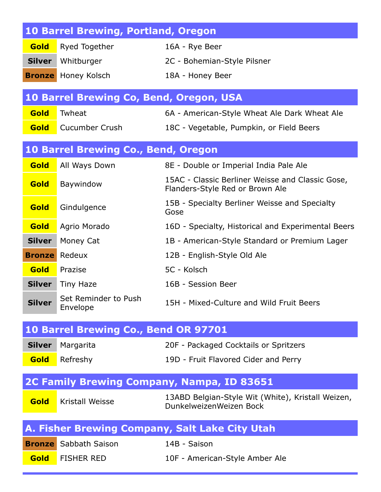|               | <b>10 Barrel Brewing, Portland, Oregon</b>     |                                                                                     |
|---------------|------------------------------------------------|-------------------------------------------------------------------------------------|
| Gold          | Ryed Together                                  | 16A - Rye Beer                                                                      |
| <b>Silver</b> | Whitburger                                     | 2C - Bohemian-Style Pilsner                                                         |
|               | <b>Bronze</b> Honey Kolsch                     | 18A - Honey Beer                                                                    |
|               | <b>10 Barrel Brewing Co, Bend, Oregon, USA</b> |                                                                                     |
| Gold          | Twheat                                         | 6A - American-Style Wheat Ale Dark Wheat Ale                                        |
| Gold          | <b>Cucumber Crush</b>                          | 18C - Vegetable, Pumpkin, or Field Beers                                            |
|               |                                                |                                                                                     |
|               | <b>10 Barrel Brewing Co., Bend, Oregon</b>     |                                                                                     |
| Gold          | All Ways Down                                  | 8E - Double or Imperial India Pale Ale                                              |
| Gold          | Baywindow                                      | 15AC - Classic Berliner Weisse and Classic Gose,<br>Flanders-Style Red or Brown Ale |
| Gold          | Gindulgence                                    | 15B - Specialty Berliner Weisse and Specialty<br>Gose                               |
| Gold          | Agrio Morado                                   | 16D - Specialty, Historical and Experimental Beers                                  |
| <b>Silver</b> | Money Cat                                      | 1B - American-Style Standard or Premium Lager                                       |
| <b>Bronze</b> | Redeux                                         | 12B - English-Style Old Ale                                                         |
| Gold          | Prazise                                        | 5C - Kolsch                                                                         |
| <b>Silver</b> | <b>Tiny Haze</b>                               | 16B - Session Beer                                                                  |
| <b>Silver</b> | Set Reminder to Push<br>Envelope               | 15H - Mixed-Culture and Wild Fruit Beers                                            |
|               | 10 Barrel Brewing Co., Bend OR 97701           |                                                                                     |
| <b>Silver</b> | Margarita                                      | 20F - Packaged Cocktails or Spritzers                                               |
| Gold          | Refreshy                                       | 19D - Fruit Flavored Cider and Perry                                                |
|               |                                                | 2C Family Brewing Company, Nampa, ID 83651                                          |
| Gold          | Kristall Weisse                                | 13ABD Belgian-Style Wit (White), Kristall Weizen,<br>DunkelweizenWeizen Bock        |
|               |                                                | A. Fisher Brewing Company, Salt Lake City Utah                                      |
| <b>Bronze</b> | Sabbath Saison                                 | 14B - Saison                                                                        |
| Gold          | <b>FISHER RED</b>                              | 10F - American-Style Amber Ale                                                      |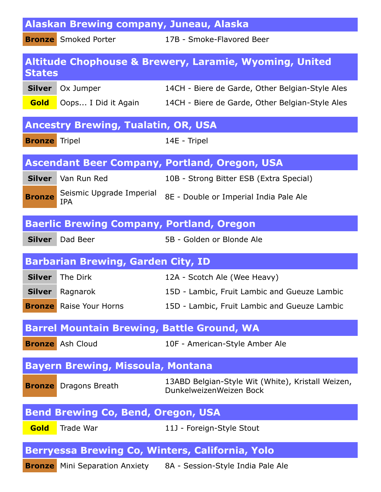|                      | Alaskan Brewing company, Juneau, Alaska           |                                                                              |
|----------------------|---------------------------------------------------|------------------------------------------------------------------------------|
|                      | <b>Bronze</b> Smoked Porter                       | 17B - Smoke-Flavored Beer                                                    |
| <b>States</b>        |                                                   | <b>Altitude Chophouse &amp; Brewery, Laramie, Wyoming, United</b>            |
|                      | <b>Silver</b> Ox Jumper                           | 14CH - Biere de Garde, Other Belgian-Style Ales                              |
| Gold                 | Oops I Did it Again                               | 14CH - Biere de Garde, Other Belgian-Style Ales                              |
|                      | <b>Ancestry Brewing, Tualatin, OR, USA</b>        |                                                                              |
| <b>Bronze</b> Tripel |                                                   | 14E - Tripel                                                                 |
|                      |                                                   | <b>Ascendant Beer Company, Portland, Oregon, USA</b>                         |
|                      | Silver   Van Run Red                              | 10B - Strong Bitter ESB (Extra Special)                                      |
| <b>Bronze</b>        | Seismic Upgrade Imperial<br><b>IPA</b>            | 8E - Double or Imperial India Pale Ale                                       |
|                      | <b>Baerlic Brewing Company, Portland, Oregon</b>  |                                                                              |
|                      | <b>Silver</b> Dad Beer                            | 5B - Golden or Blonde Ale                                                    |
|                      | <b>Barbarian Brewing, Garden City, ID</b>         |                                                                              |
| <b>Silver</b>        | The Dirk                                          | 12A - Scotch Ale (Wee Heavy)                                                 |
|                      | <b>Silver</b> Ragnarok                            | 15D - Lambic, Fruit Lambic and Gueuze Lambic                                 |
|                      | <b>Bronze</b> Raise Your Horns                    | 15D - Lambic, Fruit Lambic and Gueuze Lambic                                 |
|                      | <b>Barrel Mountain Brewing, Battle Ground, WA</b> |                                                                              |
|                      | <b>Bronze</b> Ash Cloud                           | 10F - American-Style Amber Ale                                               |
|                      | <b>Bayern Brewing, Missoula, Montana</b>          |                                                                              |
|                      | <b>Bronze</b> Dragons Breath                      | 13ABD Belgian-Style Wit (White), Kristall Weizen,<br>DunkelweizenWeizen Bock |
|                      | <b>Bend Brewing Co, Bend, Oregon, USA</b>         |                                                                              |
| Gold                 | Trade War                                         | 11J - Foreign-Style Stout                                                    |
|                      |                                                   | Berryessa Brewing Co, Winters, California, Yolo                              |
|                      |                                                   |                                                                              |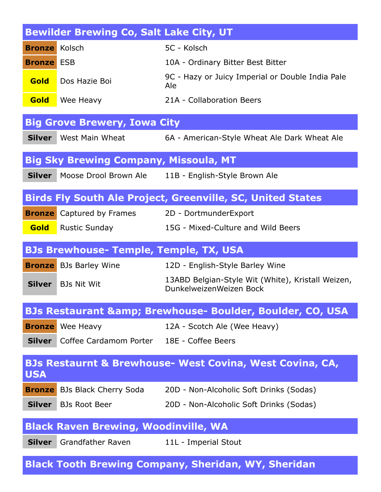|                      | <b>Bewilder Brewing Co, Salt Lake City, UT</b>          |                                                                              |
|----------------------|---------------------------------------------------------|------------------------------------------------------------------------------|
| <b>Bronze</b> Kolsch |                                                         | 5C - Kolsch                                                                  |
| <b>Bronze</b> ESB    |                                                         | 10A - Ordinary Bitter Best Bitter                                            |
| <b>Gold</b>          | Dos Hazie Boi                                           | 9C - Hazy or Juicy Imperial or Double India Pale<br>Ale                      |
| Gold                 | Wee Heavy                                               | 21A - Collaboration Beers                                                    |
|                      | <b>Big Grove Brewery, Iowa City</b>                     |                                                                              |
| <b>Silver</b>        | West Main Wheat                                         | 6A - American-Style Wheat Ale Dark Wheat Ale                                 |
|                      | <b>Big Sky Brewing Company, Missoula, MT</b>            |                                                                              |
| <b>Silver</b>        | Moose Drool Brown Ale                                   | 11B - English-Style Brown Ale                                                |
|                      |                                                         | <b>Birds Fly South Ale Project, Greenville, SC, United States</b>            |
| <b>Bronze</b>        | Captured by Frames                                      | 2D - DortmunderExport                                                        |
| Gold                 | <b>Rustic Sunday</b>                                    | 15G - Mixed-Culture and Wild Beers                                           |
|                      | <b>BJs Brewhouse- Temple, Temple, TX, USA</b>           |                                                                              |
|                      | <b>Bronze</b> BJs Barley Wine                           | 12D - English-Style Barley Wine                                              |
| <b>Silver</b>        | <b>BJs Nit Wit</b>                                      | 13ABD Belgian-Style Wit (White), Kristall Weizen,<br>DunkelweizenWeizen Bock |
|                      |                                                         | <b>BJs Restaurant &amp; Brewhouse- Boulder, Boulder, CO, USA</b>             |
|                      | <b>Bronze</b> Wee Heavy                                 | 12A - Scotch Ale (Wee Heavy)                                                 |
|                      | <b>Silver</b> Coffee Cardamom Porter 18E - Coffee Beers |                                                                              |
| <b>USA</b>           |                                                         | <b>BJs Restaurnt &amp; Brewhouse- West Covina, West Covina, CA,</b>          |
|                      | <b>Bronze</b> BJs Black Cherry Soda                     | 20D - Non-Alcoholic Soft Drinks (Sodas)                                      |
|                      | <b>Silver</b> BJs Root Beer                             | 20D - Non-Alcoholic Soft Drinks (Sodas)                                      |
|                      | <b>Black Raven Brewing, Woodinville, WA</b>             |                                                                              |
| <b>Silver</b>        | Grandfather Raven                                       | 11L - Imperial Stout                                                         |
|                      |                                                         | <b>Black Tooth Brewing Company, Sheridan, WY, Sheridan</b>                   |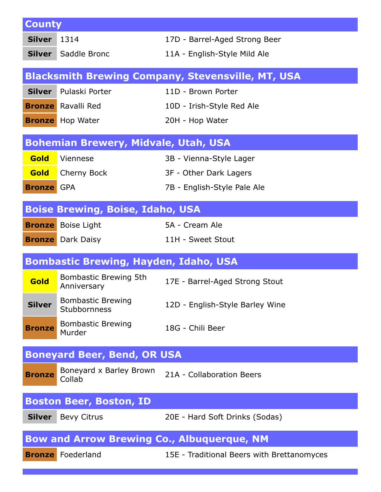| <b>County</b>     |                                              |                                                          |
|-------------------|----------------------------------------------|----------------------------------------------------------|
| <b>Silver</b>     | 1314                                         | 17D - Barrel-Aged Strong Beer                            |
| <b>Silver</b>     | Saddle Bronc                                 | 11A - English-Style Mild Ale                             |
|                   |                                              | <b>Blacksmith Brewing Company, Stevensville, MT, USA</b> |
| <b>Silver</b>     | Pulaski Porter                               | 11D - Brown Porter                                       |
|                   | <b>Bronze</b> Ravalli Red                    | 10D - Irish-Style Red Ale                                |
|                   | <b>Bronze</b> Hop Water                      | 20H - Hop Water                                          |
|                   |                                              |                                                          |
|                   | <b>Bohemian Brewery, Midvale, Utah, USA</b>  |                                                          |
| Gold              | Viennese                                     | 3B - Vienna-Style Lager                                  |
| <b>Gold</b>       | Cherny Bock                                  | 3F - Other Dark Lagers                                   |
| <b>Bronze</b> GPA |                                              | 7B - English-Style Pale Ale                              |
|                   | <b>Boise Brewing, Boise, Idaho, USA</b>      |                                                          |
| <b>Bronze</b>     | <b>Boise Light</b>                           | 5A - Cream Ale                                           |
|                   | <b>Bronze</b> Dark Daisy                     | 11H - Sweet Stout                                        |
|                   |                                              |                                                          |
|                   | <b>Bombastic Brewing, Hayden, Idaho, USA</b> |                                                          |
| Gold              | Bombastic Brewing 5th<br>Anniversary         | 17E - Barrel-Aged Strong Stout                           |
| <b>Silver</b>     | <b>Bombastic Brewing</b><br>Stubbornness     | 12D - English-Style Barley Wine                          |
| <b>Bronze</b>     | <b>Bombastic Brewing</b><br>Murder           | 18G - Chili Beer                                         |
|                   |                                              |                                                          |
|                   | <b>Boneyard Beer, Bend, OR USA</b>           |                                                          |
| <b>Bronze</b>     | Boneyard x Barley Brown<br>Collab            | 21A - Collaboration Beers                                |
|                   | <b>Boston Beer, Boston, ID</b>               |                                                          |
| <b>Silver</b>     | <b>Bevy Citrus</b>                           | 20E - Hard Soft Drinks (Sodas)                           |
|                   |                                              |                                                          |
|                   |                                              | <b>Bow and Arrow Brewing Co., Albuquerque, NM</b>        |
|                   | <b>Bronze</b> Foederland                     | 15E - Traditional Beers with Brettanomyces               |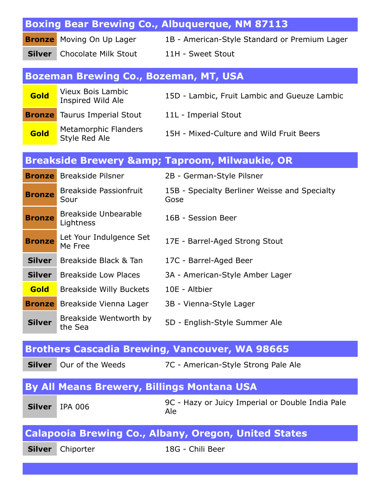|               |                                                   | <b>Boxing Bear Brewing Co., Albuquerque, NM 87113</b>       |
|---------------|---------------------------------------------------|-------------------------------------------------------------|
| <b>Bronze</b> | Moving On Up Lager                                | 1B - American-Style Standard or Premium Lager               |
| <b>Silver</b> | Chocolate Milk Stout                              | 11H - Sweet Stout                                           |
|               |                                                   |                                                             |
|               | <b>Bozeman Brewing Co., Bozeman, MT, USA</b>      |                                                             |
| Gold          | <b>Vieux Bois Lambic</b><br>Inspired Wild Ale     | 15D - Lambic, Fruit Lambic and Gueuze Lambic                |
|               | <b>Bronze</b> Taurus Imperial Stout               | 11L - Imperial Stout                                        |
| Gold          | <b>Metamorphic Flanders</b><br>Style Red Ale      | 15H - Mixed-Culture and Wild Fruit Beers                    |
|               |                                                   | <b>Breakside Brewery &amp; Taproom, Milwaukie, OR</b>       |
|               | <b>Bronze</b> Breakside Pilsner                   | 2B - German-Style Pilsner                                   |
| <b>Bronze</b> | <b>Breakside Passionfruit</b><br>Sour             | 15B - Specialty Berliner Weisse and Specialty<br>Gose       |
| <b>Bronze</b> | <b>Breakside Unbearable</b><br>Lightness          | 16B - Session Beer                                          |
| <b>Bronze</b> | Let Your Indulgence Set<br>Me Free                | 17E - Barrel-Aged Strong Stout                              |
| <b>Silver</b> | Breakside Black & Tan                             | 17C - Barrel-Aged Beer                                      |
| <b>Silver</b> | <b>Breakside Low Places</b>                       | 3A - American-Style Amber Lager                             |
| Gold          | <b>Breakside Willy Buckets</b>                    | 10E - Altbier                                               |
|               | <b>Bronze</b> Breakside Vienna Lager              | 3B - Vienna-Style Lager                                     |
| <b>Silver</b> | Breakside Wentworth by<br>the Sea                 | 5D - English-Style Summer Ale                               |
|               |                                                   | <b>Brothers Cascadia Brewing, Vancouver, WA 98665</b>       |
| <b>Silver</b> | Our of the Weeds                                  | 7C - American-Style Strong Pale Ale                         |
|               | <b>By All Means Brewery, Billings Montana USA</b> |                                                             |
| <b>Silver</b> | <b>IPA 006</b>                                    | 9C - Hazy or Juicy Imperial or Double India Pale<br>Ale     |
|               |                                                   | <b>Calapooia Brewing Co., Albany, Oregon, United States</b> |
| <b>Silver</b> | Chiporter                                         | 18G - Chili Beer                                            |
|               |                                                   |                                                             |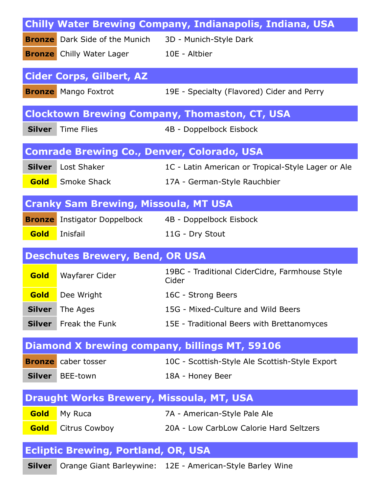|               |                                                   | <b>Chilly Water Brewing Company, Indianapolis, Indiana, USA</b> |
|---------------|---------------------------------------------------|-----------------------------------------------------------------|
|               | <b>Bronze</b> Dark Side of the Munich             | 3D - Munich-Style Dark                                          |
|               | <b>Bronze</b> Chilly Water Lager                  | 10E - Altbier                                                   |
|               | <b>Cider Corps, Gilbert, AZ</b>                   |                                                                 |
|               | <b>Bronze</b> Mango Foxtrot                       | 19E - Specialty (Flavored) Cider and Perry                      |
|               |                                                   |                                                                 |
|               |                                                   | <b>Clocktown Brewing Company, Thomaston, CT, USA</b>            |
| <b>Silver</b> | <b>Time Flies</b>                                 | 4B - Doppelbock Eisbock                                         |
|               | <b>Comrade Brewing Co., Denver, Colorado, USA</b> |                                                                 |
| <b>Silver</b> | Lost Shaker                                       | 1C - Latin American or Tropical-Style Lager or Ale              |
| Gold          | Smoke Shack                                       | 17A - German-Style Rauchbier                                    |
|               |                                                   |                                                                 |
|               | <b>Cranky Sam Brewing, Missoula, MT USA</b>       |                                                                 |
|               | <b>Bronze</b> Instigator Doppelbock               | 4B - Doppelbock Eisbock                                         |
| Gold          | Inisfail                                          | 11G - Dry Stout                                                 |
|               | <b>Deschutes Brewery, Bend, OR USA</b>            |                                                                 |
| Gold          | Wayfarer Cider                                    | 19BC - Traditional CiderCidre, Farmhouse Style<br>Cider         |
|               | <b>Gold</b> Dee Wright                            | 16C - Strong Beers                                              |
| <b>Silver</b> | The Ages                                          | 15G - Mixed-Culture and Wild Beers                              |
| <b>Silver</b> | Freak the Funk                                    | 15E - Traditional Beers with Brettanomyces                      |
|               |                                                   | <b>Diamond X brewing company, billings MT, 59106</b>            |
|               | <b>Bronze</b> caber tosser                        | 10C - Scottish-Style Ale Scottish-Style Export                  |
| <b>Silver</b> | BEE-town                                          | 18A - Honey Beer                                                |
|               |                                                   |                                                                 |
|               |                                                   | <b>Draught Works Brewery, Missoula, MT, USA</b>                 |
|               |                                                   |                                                                 |
| Gold          | My Ruca                                           | 7A - American-Style Pale Ale                                    |
| <b>Gold</b>   | Citrus Cowboy                                     | 20A - Low CarbLow Calorie Hard Seltzers                         |
|               | <b>Ecliptic Brewing, Portland, OR, USA</b>        |                                                                 |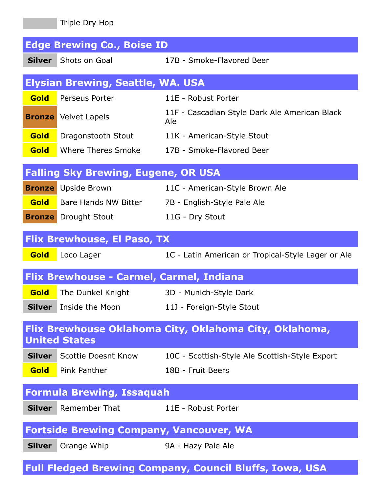|               | Triple Dry Hop                                  |                                                                |
|---------------|-------------------------------------------------|----------------------------------------------------------------|
|               | <b>Edge Brewing Co., Boise ID</b>               |                                                                |
| <b>Silver</b> | Shots on Goal                                   | 17B - Smoke-Flavored Beer                                      |
|               | <b>Elysian Brewing, Seattle, WA. USA</b>        |                                                                |
| Gold          | Perseus Porter                                  | 11E - Robust Porter                                            |
|               | <b>Bronze</b> Velvet Lapels                     | 11F - Cascadian Style Dark Ale American Black<br>Ale           |
| <b>Gold</b>   | Dragonstooth Stout                              | 11K - American-Style Stout                                     |
| <b>Gold</b>   | Where Theres Smoke                              | 17B - Smoke-Flavored Beer                                      |
|               | <b>Falling Sky Brewing, Eugene, OR USA</b>      |                                                                |
|               | <b>Bronze</b> Upside Brown                      | 11C - American-Style Brown Ale                                 |
| <b>Gold</b>   | Bare Hands NW Bitter                            | 7B - English-Style Pale Ale                                    |
|               | <b>Bronze</b> Drought Stout                     | 11G - Dry Stout                                                |
|               | <b>Flix Brewhouse, El Paso, TX</b>              |                                                                |
| <b>Gold</b>   | Loco Lager                                      | 1C - Latin American or Tropical-Style Lager or Ale             |
|               | <b>Flix Brewhouse - Carmel, Carmel, Indiana</b> |                                                                |
| Gold          | The Dunkel Knight                               | 3D - Munich-Style Dark                                         |
| <b>Silver</b> | Inside the Moon                                 | 11J - Foreign-Style Stout                                      |
|               | <b>United States</b>                            | Flix Brewhouse Oklahoma City, Oklahoma City, Oklahoma,         |
|               | <b>Silver</b> Scottie Doesnt Know               | 10C - Scottish-Style Ale Scottish-Style Export                 |
| <b>Gold</b>   | Pink Panther                                    | 18B - Fruit Beers                                              |
|               | <b>Formula Brewing, Issaquah</b>                |                                                                |
| <b>Silver</b> | <b>Remember That</b>                            | 11E - Robust Porter                                            |
|               | <b>Fortside Brewing Company, Vancouver, WA</b>  |                                                                |
| <b>Silver</b> | Orange Whip                                     | 9A - Hazy Pale Ale                                             |
|               |                                                 | <b>Full Fledged Brewing Company, Council Bluffs, Iowa, USA</b> |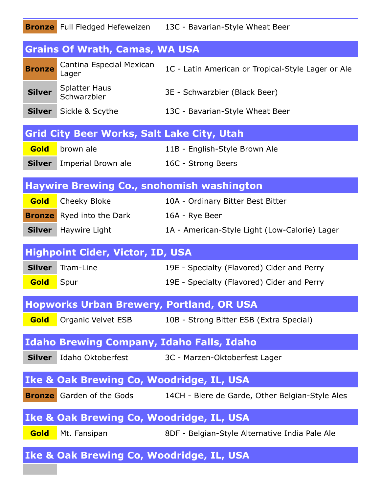|               | <b>Bronze</b> Full Fledged Hefeweizen               | 13C - Bavarian-Style Wheat Beer                    |
|---------------|-----------------------------------------------------|----------------------------------------------------|
|               | <b>Grains Of Wrath, Camas, WA USA</b>               |                                                    |
| <b>Bronze</b> | Cantina Especial Mexican<br>Lager                   | 1C - Latin American or Tropical-Style Lager or Ale |
| <b>Silver</b> | <b>Splatter Haus</b><br>Schwarzbier                 | 3E - Schwarzbier (Black Beer)                      |
|               | <b>Silver</b> Sickle & Scythe                       | 13C - Bavarian-Style Wheat Beer                    |
|               | <b>Grid City Beer Works, Salt Lake City, Utah</b>   |                                                    |
| Gold          | brown ale                                           | 11B - English-Style Brown Ale                      |
| <b>Silver</b> | Imperial Brown ale                                  | 16C - Strong Beers                                 |
|               | <b>Haywire Brewing Co., snohomish washington</b>    |                                                    |
| <b>Gold</b>   | Cheeky Bloke                                        | 10A - Ordinary Bitter Best Bitter                  |
|               | <b>Bronze</b> Ryed into the Dark                    | 16A - Rye Beer                                     |
| <b>Silver</b> | Haywire Light                                       | 1A - American-Style Light (Low-Calorie) Lager      |
|               | <b>Highpoint Cider, Victor, ID, USA</b>             |                                                    |
| <b>Silver</b> | Tram-Line                                           | 19E - Specialty (Flavored) Cider and Perry         |
| <b>Gold</b>   | Spur                                                | 19E - Specialty (Flavored) Cider and Perry         |
|               | <b>Hopworks Urban Brewery, Portland, OR USA</b>     |                                                    |
| <b>Gold</b>   | Organic Velvet ESB                                  | 10B - Strong Bitter ESB (Extra Special)            |
|               | <b>Idaho Brewing Company, Idaho Falls, Idaho</b>    |                                                    |
| <b>Silver</b> |                                                     | Idaho Oktoberfest 3C - Marzen-Oktoberfest Lager    |
|               | <b>Ike &amp; Oak Brewing Co, Woodridge, IL, USA</b> |                                                    |
|               | <b>Bronze</b> Garden of the Gods                    | 14CH - Biere de Garde, Other Belgian-Style Ales    |
|               | <b>Ike &amp; Oak Brewing Co, Woodridge, IL, USA</b> |                                                    |
| Gold          | Mt. Fansipan                                        | 8DF - Belgian-Style Alternative India Pale Ale     |
|               | <b>Ike &amp; Oak Brewing Co, Woodridge, IL, USA</b> |                                                    |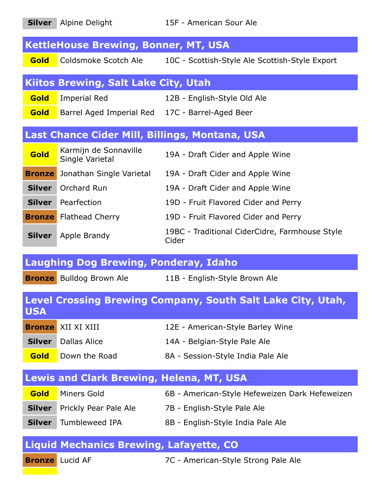| <b>Silver</b> | Alpine Delight                                  | 15F - American Sour Ale                                     |
|---------------|-------------------------------------------------|-------------------------------------------------------------|
|               | <b>KettleHouse Brewing, Bonner, MT, USA</b>     |                                                             |
| <b>Gold</b>   | Coldsmoke Scotch Ale                            | 10C - Scottish-Style Ale Scottish-Style Export              |
|               | <b>Kiitos Brewing, Salt Lake City, Utah</b>     |                                                             |
| Gold          | <b>Imperial Red</b>                             | 12B - English-Style Old Ale                                 |
| <b>Gold</b>   | Barrel Aged Imperial Red 17C - Barrel-Aged Beer |                                                             |
|               |                                                 | Last Chance Cider Mill, Billings, Montana, USA              |
| Gold          | Karmijn de Sonnaville<br>Single Varietal        | 19A - Draft Cider and Apple Wine                            |
| <b>Bronze</b> | Jonathan Single Varietal                        | 19A - Draft Cider and Apple Wine                            |
|               | <b>Silver</b> Orchard Run                       | 19A - Draft Cider and Apple Wine                            |
| <b>Silver</b> | Pearfection                                     | 19D - Fruit Flavored Cider and Perry                        |
|               | <b>Bronze</b> Flathead Cherry                   | 19D - Fruit Flavored Cider and Perry                        |
| <b>Silver</b> | Apple Brandy                                    | 19BC - Traditional CiderCidre, Farmhouse Style<br>Cider     |
|               | <b>Laughing Dog Brewing, Ponderay, Idaho</b>    |                                                             |
|               | <b>Bronze</b> Bulldog Brown Ale                 | 11B - English-Style Brown Ale                               |
| <b>USA</b>    |                                                 | Level Crossing Brewing Company, South Salt Lake City, Utah, |
|               |                                                 |                                                             |
|               | <b>Bronze</b> XII XI XIII                       | 12E - American-Style Barley Wine                            |
| <b>Silver</b> | <b>Dallas Alice</b>                             | 14A - Belgian-Style Pale Ale                                |
| <b>Gold</b>   | Down the Road                                   | 8A - Session-Style India Pale Ale                           |
|               | <b>Lewis and Clark Brewing, Helena, MT, USA</b> |                                                             |
| Gold          | Miners Gold                                     | 6B - American-Style Hefeweizen Dark Hefeweizen              |
| <b>Silver</b> | Prickly Pear Pale Ale                           | 7B - English-Style Pale Ale                                 |
| <b>Silver</b> | Tumbleweed IPA                                  | 8B - English-Style India Pale Ale                           |
|               | <b>Liquid Mechanics Brewing, Lafayette, CO</b>  |                                                             |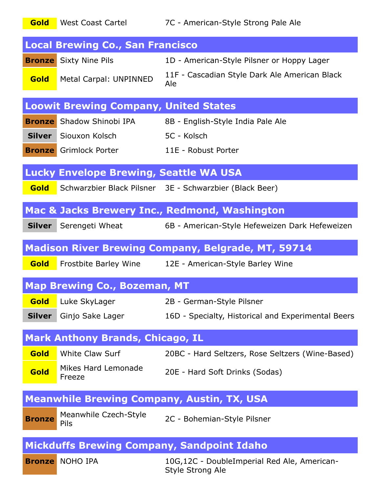**Gold** West Coast Cartel 7C - American-Style Strong Pale Ale

|               | <b>Local Brewing Co., San Francisco</b>       |                                                                 |
|---------------|-----------------------------------------------|-----------------------------------------------------------------|
|               | <b>Bronze</b> Sixty Nine Pils                 | 1D - American-Style Pilsner or Hoppy Lager                      |
| <b>Gold</b>   | Metal Carpal: UNPINNED                        | 11F - Cascadian Style Dark Ale American Black<br>Ale            |
|               | <b>Loowit Brewing Company, United States</b>  |                                                                 |
|               | <b>Bronze</b> Shadow Shinobi IPA              | 8B - English-Style India Pale Ale                               |
|               | Silver Siouxon Kolsch                         | 5C - Kolsch                                                     |
|               | <b>Bronze</b> Grimlock Porter                 | 11E - Robust Porter                                             |
|               | <b>Lucky Envelope Brewing, Seattle WA USA</b> |                                                                 |
| <b>Gold</b>   |                                               | Schwarzbier Black Pilsner 3E - Schwarzbier (Black Beer)         |
|               |                                               | <b>Mac &amp; Jacks Brewery Inc., Redmond, Washington</b>        |
| <b>Silver</b> |                                               | Serengeti Wheat 6B - American-Style Hefeweizen Dark Hefeweizen  |
|               |                                               | <b>Madison River Brewing Company, Belgrade, MT, 59714</b>       |
| Gold          |                                               | Frostbite Barley Wine 12E - American-Style Barley Wine          |
|               | <b>Map Brewing Co., Bozeman, MT</b>           |                                                                 |
| Gold          | Luke SkyLager                                 | 2B - German-Style Pilsner                                       |
| <b>Silver</b> | Ginjo Sake Lager                              | 16D - Specialty, Historical and Experimental Beers              |
|               | <b>Mark Anthony Brands, Chicago, IL</b>       |                                                                 |
| Gold          | <b>White Claw Surf</b>                        | 20BC - Hard Seltzers, Rose Seltzers (Wine-Based)                |
| Gold          | Mikes Hard Lemonade<br>Freeze                 | 20E - Hard Soft Drinks (Sodas)                                  |
|               |                                               | <b>Meanwhile Brewing Company, Austin, TX, USA</b>               |
| <b>Bronze</b> | Meanwhile Czech-Style<br>Pils                 | 2C - Bohemian-Style Pilsner                                     |
|               |                                               | <b>Mickduffs Brewing Company, Sandpoint Idaho</b>               |
|               | <b>Bronze</b> NOHO IPA                        | 10G,12C - DoubleImperial Red Ale, American-<br>Style Strong Ale |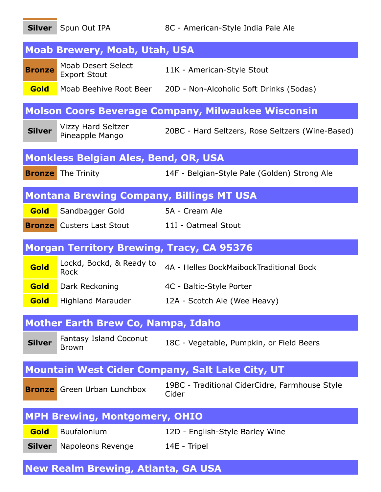|               | Silver Spun Out IPA                              | 8C - American-Style India Pale Ale                             |
|---------------|--------------------------------------------------|----------------------------------------------------------------|
|               | <b>Moab Brewery, Moab, Utah, USA</b>             |                                                                |
| <b>Bronze</b> | <b>Moab Desert Select</b><br><b>Export Stout</b> | 11K - American-Style Stout                                     |
| Gold          |                                                  | Moab Beehive Root Beer 20D - Non-Alcoholic Soft Drinks (Sodas) |
|               |                                                  | <b>Molson Coors Beverage Company, Milwaukee Wisconsin</b>      |
| <b>Silver</b> | <b>Vizzy Hard Seltzer</b><br>Pineapple Mango     | 20BC - Hard Seltzers, Rose Seltzers (Wine-Based)               |
|               | <b>Monkless Belgian Ales, Bend, OR, USA</b>      |                                                                |
|               | <b>Bronze</b> The Trinity                        | 14F - Belgian-Style Pale (Golden) Strong Ale                   |
|               | <b>Montana Brewing Company, Billings MT USA</b>  |                                                                |
| Gold          | Sandbagger Gold                                  | 5A - Cream Ale                                                 |
|               | <b>Bronze</b> Custers Last Stout                 | 11I - Oatmeal Stout                                            |
|               | <b>Morgan Territory Brewing, Tracy, CA 95376</b> |                                                                |
| Gold          | Lockd, Bockd, & Ready to<br><b>Rock</b>          | 4A - Helles BockMaibockTraditional Bock                        |
| <b>Gold</b>   | Dark Reckoning                                   | 4C - Baltic-Style Porter                                       |
| <b>Gold</b>   | <b>Highland Marauder</b>                         | 12A - Scotch Ale (Wee Heavy)                                   |
|               | <b>Mother Earth Brew Co, Nampa, Idaho</b>        |                                                                |
| <b>Silver</b> | Fantasy Island Coconut<br>Brown                  | 18C - Vegetable, Pumpkin, or Field Beers                       |
|               |                                                  | <b>Mountain West Cider Company, Salt Lake City, UT</b>         |
|               | <b>Bronze</b> Green Urban Lunchbox               | 19BC - Traditional CiderCidre, Farmhouse Style<br>Cider        |
|               | <b>MPH Brewing, Montgomery, OHIO</b>             |                                                                |
| Gold          | Buufalonium                                      | 12D - English-Style Barley Wine                                |
| <b>Silver</b> | Napoleons Revenge                                | 14E - Tripel                                                   |
|               | <b>New Realm Brewing, Atlanta, GA USA</b>        |                                                                |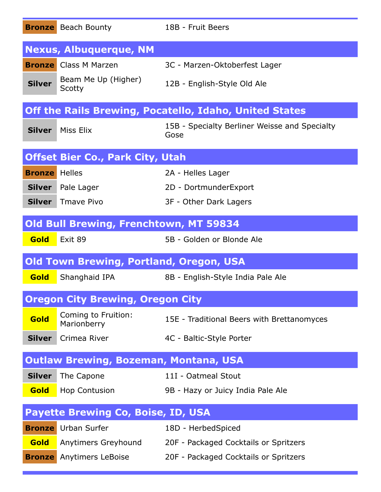|                      | <b>Bronze</b> Beach Bounty                     | 18B - Fruit Beers                                             |
|----------------------|------------------------------------------------|---------------------------------------------------------------|
|                      | <b>Nexus, Albuquerque, NM</b>                  |                                                               |
|                      | <b>Bronze</b> Class M Marzen                   | 3C - Marzen-Oktoberfest Lager                                 |
| <b>Silver</b>        | Beam Me Up (Higher)<br>Scotty                  | 12B - English-Style Old Ale                                   |
|                      |                                                | <b>Off the Rails Brewing, Pocatello, Idaho, United States</b> |
| <b>Silver</b>        | Miss Elix                                      | 15B - Specialty Berliner Weisse and Specialty<br>Gose         |
|                      | <b>Offset Bier Co., Park City, Utah</b>        |                                                               |
| <b>Bronze</b> Helles |                                                | 2A - Helles Lager                                             |
|                      | <b>Silver</b> Pale Lager                       | 2D - DortmunderExport                                         |
| <b>Silver</b>        | <b>Tmave Pivo</b>                              | 3F - Other Dark Lagers                                        |
|                      | <b>Old Bull Brewing, Frenchtown, MT 59834</b>  |                                                               |
| Gold                 | Exit 89                                        | 5B - Golden or Blonde Ale                                     |
|                      | <b>Old Town Brewing, Portland, Oregon, USA</b> |                                                               |
| Gold                 | Shanghaid IPA                                  | 8B - English-Style India Pale Ale                             |
|                      | <b>Oregon City Brewing, Oregon City</b>        |                                                               |
| Gold                 | Coming to Fruition:<br>Marionberry             | 15E - Traditional Beers with Brettanomyces                    |
| <b>Silver</b>        | Crimea River                                   | 4C - Baltic-Style Porter                                      |
|                      | <b>Outlaw Brewing, Bozeman, Montana, USA</b>   |                                                               |
| <b>Silver</b>        | The Capone                                     | 11I - Oatmeal Stout                                           |
| Gold                 | Hop Contusion                                  | 9B - Hazy or Juicy India Pale Ale                             |
|                      | <b>Payette Brewing Co, Boise, ID, USA</b>      |                                                               |
|                      | <b>Bronze</b> Urban Surfer                     | 18D - HerbedSpiced                                            |
| Gold                 | Anytimers Greyhound                            | 20F - Packaged Cocktails or Spritzers                         |
| <b>Bronze</b>        | Anytimers LeBoise                              | 20F - Packaged Cocktails or Spritzers                         |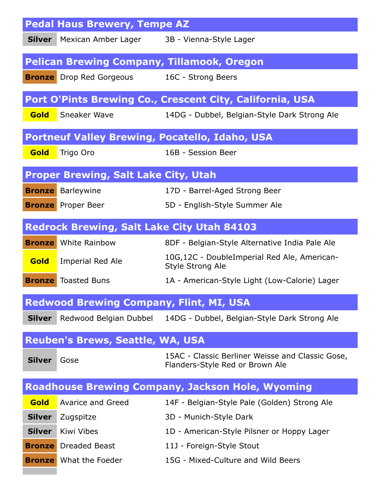|               | <b>Pedal Haus Brewery, Tempe AZ</b>                       |                                                                                     |
|---------------|-----------------------------------------------------------|-------------------------------------------------------------------------------------|
|               | <b>Silver</b> Mexican Amber Lager 3B - Vienna-Style Lager |                                                                                     |
|               | <b>Pelican Brewing Company, Tillamook, Oregon</b>         |                                                                                     |
|               | <b>Bronze</b> Drop Red Gorgeous                           | 16C - Strong Beers                                                                  |
|               |                                                           | Port O'Pints Brewing Co., Crescent City, California, USA                            |
| <b>Gold</b>   | Sneaker Wave                                              | 14DG - Dubbel, Belgian-Style Dark Strong Ale                                        |
|               |                                                           | <b>Portneuf Valley Brewing, Pocatello, Idaho, USA</b>                               |
| Gold          | Trigo Oro                                                 | 16B - Session Beer                                                                  |
|               | <b>Proper Brewing, Salt Lake City, Utah</b>               |                                                                                     |
|               | <b>Bronze</b> Barleywine                                  | 17D - Barrel-Aged Strong Beer                                                       |
|               | <b>Bronze</b> Proper Beer                                 | 5D - English-Style Summer Ale                                                       |
|               | <b>Redrock Brewing, Salt Lake City Utah 84103</b>         |                                                                                     |
|               | <b>Bronze</b> White Rainbow                               | 8DF - Belgian-Style Alternative India Pale Ale                                      |
| <b>Gold</b>   | Imperial Red Ale                                          | 10G,12C - DoubleImperial Red Ale, American-<br><b>Style Strong Ale</b>              |
|               | <b>Bronze</b> Toasted Buns                                | 1A - American-Style Light (Low-Calorie) Lager                                       |
|               | <b>Redwood Brewing Company, Flint, MI, USA</b>            |                                                                                     |
| <b>Silver</b> |                                                           | Redwood Belgian Dubbel 14DG - Dubbel, Belgian-Style Dark Strong Ale                 |
|               | <b>Reuben's Brews, Seattle, WA, USA</b>                   |                                                                                     |
| <b>Silver</b> | Gose                                                      | 15AC - Classic Berliner Weisse and Classic Gose,<br>Flanders-Style Red or Brown Ale |
|               |                                                           | <b>Roadhouse Brewing Company, Jackson Hole, Wyoming</b>                             |
| <b>Gold</b>   | Avarice and Greed                                         | 14F - Belgian-Style Pale (Golden) Strong Ale                                        |
| <b>Silver</b> | Zugspitze                                                 | 3D - Munich-Style Dark                                                              |
| <b>Silver</b> | Kiwi Vibes                                                | 1D - American-Style Pilsner or Hoppy Lager                                          |
|               | <b>Bronze</b> Dreaded Beast                               | 11J - Foreign-Style Stout                                                           |
|               | <b>Bronze</b> What the Foeder                             | 15G - Mixed-Culture and Wild Beers                                                  |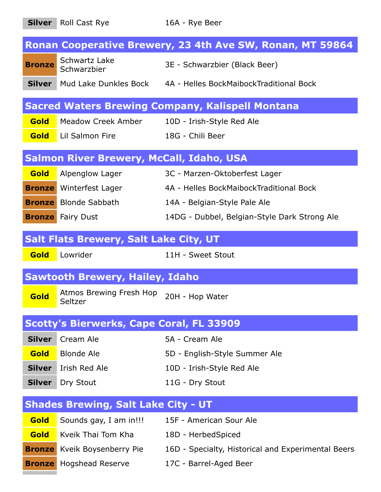**Silver** Roll Cast Rye 16A - Rye Beer **Ronan Cooperative Brewery, 23 4th Ave SW, Ronan, MT 59864 Bronze** Schwartz Lake 3E - Schwarzbier (Black Beer) **Silver** Mud Lake Dunkles Bock 4A - Helles BockMaibockTraditional Bock **Sacred Waters Brewing Company, Kalispell Montana Gold** Meadow Creek Amber 10D - Irish-Style Red Ale **Gold** Lil Salmon Fire 18G - Chili Beer

#### **Salmon River Brewery, McCall, Idaho, USA**

| <b>Gold</b> | Alpenglow Lager                | 3C - Marzen-Oktoberfest Lager                |
|-------------|--------------------------------|----------------------------------------------|
|             | <b>Bronze</b> Winterfest Lager | 4A - Helles BockMaibockTraditional Bock      |
|             | <b>Bronze</b> Blonde Sabbath   | 14A - Belgian-Style Pale Ale                 |
|             | <b>Bronze</b> Fairy Dust       | 14DG - Dubbel, Belgian-Style Dark Strong Ale |

#### **Salt Flats Brewery, Salt Lake City, UT**

**Gold** Lowrider 11H - Sweet Stout

#### **Sawtooth Brewery, Hailey, Idaho**

**Gold** Atmos Brewing Fresh Hop Seltzer 20H - Hop Water

#### **Scotty's Bierwerks, Cape Coral, FL 33909**

| <b>Silver</b> Cream Ale     | 5A - Cream Ale                |
|-----------------------------|-------------------------------|
| <b>Gold</b> Blonde Ale      | 5D - English-Style Summer Ale |
| <b>Silver</b> Irish Red Ale | 10D - Irish-Style Red Ale     |
| <b>Silver</b> Dry Stout     | 11G - Dry Stout               |

### **Shades Brewing, Salt Lake City - UT**

| Gold        | Sounds gay, I am in!!!              | 15F - American Sour Ale                            |
|-------------|-------------------------------------|----------------------------------------------------|
| <b>Gold</b> | Kveik Thai Tom Kha                  | 18D - HerbedSpiced                                 |
|             | <b>Bronze</b> Kveik Boysenberry Pie | 16D - Specialty, Historical and Experimental Beers |
|             | <b>Bronze</b> Hogshead Reserve      | 17C - Barrel-Aged Beer                             |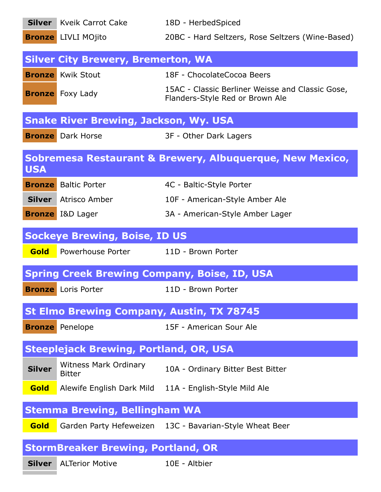|               | <b>Silver</b> Kveik Carrot Cake                  | 18D - HerbedSpiced                                                                  |
|---------------|--------------------------------------------------|-------------------------------------------------------------------------------------|
|               | <b>Bronze</b> LIVLI MOjito                       | 20BC - Hard Seltzers, Rose Seltzers (Wine-Based)                                    |
|               | <b>Silver City Brewery, Bremerton, WA</b>        |                                                                                     |
|               | <b>Bronze</b> Kwik Stout                         | 18F - ChocolateCocoa Beers                                                          |
|               | <b>Bronze</b> Foxy Lady                          | 15AC - Classic Berliner Weisse and Classic Gose,<br>Flanders-Style Red or Brown Ale |
|               | <b>Snake River Brewing, Jackson, Wy. USA</b>     |                                                                                     |
|               | <b>Bronze</b> Dark Horse                         | 3F - Other Dark Lagers                                                              |
| <b>USA</b>    |                                                  | Sobremesa Restaurant & Brewery, Albuquerque, New Mexico,                            |
|               | <b>Bronze</b> Baltic Porter                      | 4C - Baltic-Style Porter                                                            |
|               | <b>Silver</b> Atrisco Amber                      | 10F - American-Style Amber Ale                                                      |
|               | <b>Bronze</b> I&D Lager                          | 3A - American-Style Amber Lager                                                     |
|               | <b>Sockeye Brewing, Boise, ID US</b>             |                                                                                     |
| <b>Gold</b>   | Powerhouse Porter                                | 11D - Brown Porter                                                                  |
|               |                                                  | <b>Spring Creek Brewing Company, Boise, ID, USA</b>                                 |
|               | <b>Bronze</b> Loris Porter                       | 11D - Brown Porter                                                                  |
|               | <b>St Elmo Brewing Company, Austin, TX 78745</b> |                                                                                     |
|               | <b>Bronze</b> Penelope                           | 15F - American Sour Ale                                                             |
|               | <b>Steeplejack Brewing, Portland, OR, USA</b>    |                                                                                     |
| <b>Silver</b> | <b>Witness Mark Ordinary</b><br><b>Bitter</b>    | 10A - Ordinary Bitter Best Bitter                                                   |
| Gold          | Alewife English Dark Mild                        | 11A - English-Style Mild Ale                                                        |
|               | <b>Stemma Brewing, Bellingham WA</b>             |                                                                                     |
| <b>Gold</b>   |                                                  | Garden Party Hefeweizen 13C - Bavarian-Style Wheat Beer                             |
|               |                                                  |                                                                                     |
|               | <b>StormBreaker Brewing, Portland, OR</b>        |                                                                                     |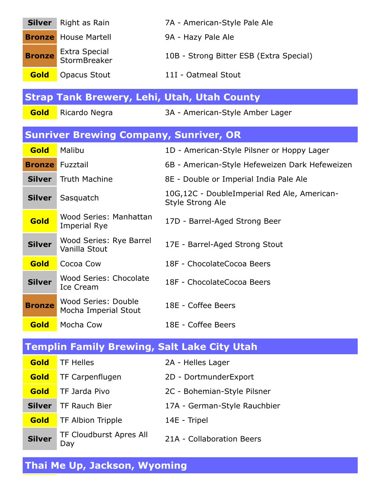| <b>Silver</b> | Right as Rain                                      | 7A - American-Style Pale Ale                                    |
|---------------|----------------------------------------------------|-----------------------------------------------------------------|
|               | <b>Bronze</b> House Martell                        | 9A - Hazy Pale Ale                                              |
| <b>Bronze</b> | <b>Extra Special</b><br>StormBreaker               | 10B - Strong Bitter ESB (Extra Special)                         |
| <b>Gold</b>   | <b>Opacus Stout</b>                                | 11I - Oatmeal Stout                                             |
|               | <b>Strap Tank Brewery, Lehi, Utah, Utah County</b> |                                                                 |
| Gold          | Ricardo Negra                                      | 3A - American-Style Amber Lager                                 |
|               | <b>Sunriver Brewing Company, Sunriver, OR</b>      |                                                                 |
| Gold          | Malibu                                             | 1D - American-Style Pilsner or Hoppy Lager                      |
|               | <b>Bronze</b> Fuzztail                             | 6B - American-Style Hefeweizen Dark Hefeweizen                  |
| <b>Silver</b> | <b>Truth Machine</b>                               | 8E - Double or Imperial India Pale Ale                          |
| <b>Silver</b> | Sasquatch                                          | 10G,12C - DoubleImperial Red Ale, American-<br>Style Strong Ale |
| Gold          | Wood Series: Manhattan<br><b>Imperial Rye</b>      | 17D - Barrel-Aged Strong Beer                                   |
| <b>Silver</b> | Wood Series: Rye Barrel<br>Vanilla Stout           | 17E - Barrel-Aged Strong Stout                                  |
| Gold          | Cocoa Cow                                          | 18F - ChocolateCocoa Beers                                      |
| <b>Silver</b> | Wood Series: Chocolate<br><b>Ice Cream</b>         | 18F - ChocolateCocoa Beers                                      |
| <b>Bronze</b> | Wood Series: Double<br>Mocha Imperial Stout        | 18E - Coffee Beers                                              |
| <b>Gold</b>   | Mocha Cow                                          | 18E - Coffee Beers                                              |
|               | <b>Templin Family Brewing, Salt Lake City Utah</b> |                                                                 |
| Gold          | <b>TF Helles</b>                                   | 2A - Helles Lager                                               |
| Gold          | TF Carpenflugen                                    | 2D - DortmunderExport                                           |
| Gold          | TF Jarda Pivo                                      | 2C - Bohemian-Style Pilsner                                     |
| <b>Silver</b> | TF Rauch Bier                                      | 17A - German-Style Rauchbier                                    |
| <b>Gold</b>   | TF Albion Tripple                                  | 14E - Tripel                                                    |
| <b>Silver</b> | <b>TF Cloudburst Apres All</b><br>Day              | 21A - Collaboration Beers                                       |

# **Thai Me Up, Jackson, Wyoming**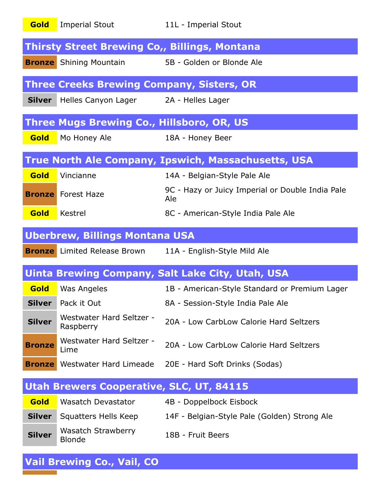| Gold          | <b>Imperial Stout</b>                                    | 11L - Imperial Stout                                             |
|---------------|----------------------------------------------------------|------------------------------------------------------------------|
|               | <b>Thirsty Street Brewing Co,, Billings, Montana</b>     |                                                                  |
|               | <b>Bronze</b> Shining Mountain 5B - Golden or Blonde Ale |                                                                  |
|               | <b>Three Creeks Brewing Company, Sisters, OR</b>         |                                                                  |
|               | Silver Helles Canyon Lager 2A - Helles Lager             |                                                                  |
|               | <b>Three Mugs Brewing Co., Hillsboro, OR, US</b>         |                                                                  |
| Gold          | Mo Honey Ale                                             | 18A - Honey Beer                                                 |
|               |                                                          | <b>True North Ale Company, Ipswich, Massachusetts, USA</b>       |
| Gold          | Vincianne                                                | 14A - Belgian-Style Pale Ale                                     |
|               | <b>Bronze</b> Forest Haze                                | 9C - Hazy or Juicy Imperial or Double India Pale<br>Ale          |
| Gold          | Kestrel                                                  | 8C - American-Style India Pale Ale                               |
|               | <b>Uberbrew, Billings Montana USA</b>                    |                                                                  |
|               |                                                          | <b>Bronze</b> Limited Release Brown 11A - English-Style Mild Ale |
|               |                                                          | Uinta Brewing Company, Salt Lake City, Utah, USA                 |
| Gold          | Was Angeles                                              | 1B - American-Style Standard or Premium Lager                    |
| <b>Silver</b> | Pack it Out                                              | 8A - Session-Style India Pale Ale                                |
| <b>Silver</b> | Westwater Hard Seltzer -<br>Raspberry                    | 20A - Low CarbLow Calorie Hard Seltzers                          |
| <b>Bronze</b> | Westwater Hard Seltzer -<br>Lime                         | 20A - Low CarbLow Calorie Hard Seltzers                          |
|               | <b>Bronze</b> Westwater Hard Limeade                     | 20E - Hard Soft Drinks (Sodas)                                   |
|               | <b>Utah Brewers Cooperative, SLC, UT, 84115</b>          |                                                                  |
| Gold          | <b>Wasatch Devastator</b>                                | 4B - Doppelbock Eisbock                                          |
| <b>Silver</b> | Squatters Hells Keep                                     | 14F - Belgian-Style Pale (Golden) Strong Ale                     |
| <b>Silver</b> | <b>Wasatch Strawberry</b><br><b>Blonde</b>               | 18B - Fruit Beers                                                |

## **Vail Brewing Co., Vail, CO**

π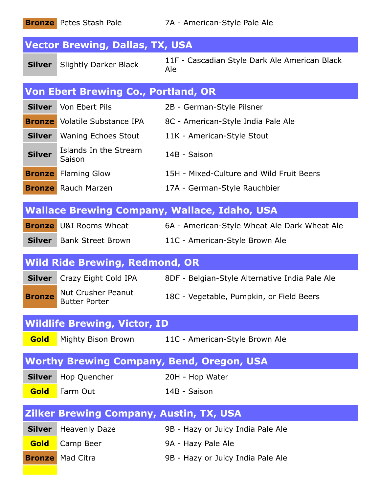|                                                | 7A - American-Style Pale Ale                                                                                                                                 |
|------------------------------------------------|--------------------------------------------------------------------------------------------------------------------------------------------------------------|
| <b>Vector Brewing, Dallas, TX, USA</b>         |                                                                                                                                                              |
| <b>Slightly Darker Black</b>                   | 11F - Cascadian Style Dark Ale American Black<br>Ale                                                                                                         |
| <b>Von Ebert Brewing Co., Portland, OR</b>     |                                                                                                                                                              |
| Von Ebert Pils                                 | 2B - German-Style Pilsner                                                                                                                                    |
|                                                | 8C - American-Style India Pale Ale                                                                                                                           |
|                                                | 11K - American-Style Stout                                                                                                                                   |
| Islands In the Stream<br>Saison                | 14B - Saison                                                                                                                                                 |
| <b>Flaming Glow</b>                            | 15H - Mixed-Culture and Wild Fruit Beers                                                                                                                     |
|                                                | 17A - German-Style Rauchbier                                                                                                                                 |
|                                                | <b>Wallace Brewing Company, Wallace, Idaho, USA</b>                                                                                                          |
| <b>Bronze</b> U&I Rooms Wheat                  | 6A - American-Style Wheat Ale Dark Wheat Ale                                                                                                                 |
|                                                |                                                                                                                                                              |
| <b>Silver</b> Bank Street Brown                | 11C - American-Style Brown Ale                                                                                                                               |
| <b>Wild Ride Brewing, Redmond, OR</b>          |                                                                                                                                                              |
| Crazy Eight Cold IPA                           | 8DF - Belgian-Style Alternative India Pale Ale                                                                                                               |
| Nut Crusher Peanut<br><b>Butter Porter</b>     | 18C - Vegetable, Pumpkin, or Field Beers                                                                                                                     |
| <b>Wildlife Brewing, Victor, ID</b>            |                                                                                                                                                              |
|                                                | Mighty Bison Brown 11C - American-Style Brown Ale                                                                                                            |
|                                                | <b>Worthy Brewing Company, Bend, Oregon, USA</b>                                                                                                             |
| Hop Quencher                                   | 20H - Hop Water                                                                                                                                              |
| Farm Out                                       | 14B - Saison                                                                                                                                                 |
| <b>Zilker Brewing Company, Austin, TX, USA</b> |                                                                                                                                                              |
| <b>Heavenly Daze</b>                           | 9B - Hazy or Juicy India Pale Ale                                                                                                                            |
| Camp Beer                                      | 9A - Hazy Pale Ale                                                                                                                                           |
|                                                | <b>Bronze</b> Petes Stash Pale<br><b>Bronze</b> Volatile Substance IPA<br><b>Silver</b>   Waning Echoes Stout<br><b>Bronze</b><br><b>Bronze</b> Rauch Marzen |